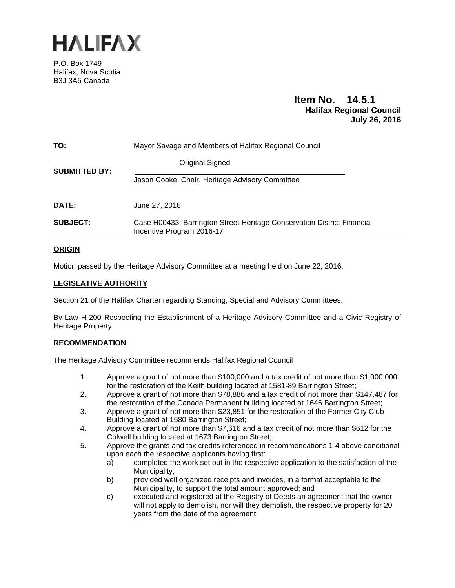

P.O. Box 1749 Halifax, Nova Scotia B3J 3A5 Canada

# **Item No. 14.5.1 Halifax Regional Council July 26, 2016**

| TO:                  | Mayor Savage and Members of Halifax Regional Council                                                 |  |  |
|----------------------|------------------------------------------------------------------------------------------------------|--|--|
| <b>SUBMITTED BY:</b> | Original Signed                                                                                      |  |  |
|                      | Jason Cooke, Chair, Heritage Advisory Committee                                                      |  |  |
| <b>DATE:</b>         | June 27, 2016                                                                                        |  |  |
| <b>SUBJECT:</b>      | Case H00433: Barrington Street Heritage Conservation District Financial<br>Incentive Program 2016-17 |  |  |
|                      |                                                                                                      |  |  |

## **ORIGIN**

Motion passed by the Heritage Advisory Committee at a meeting held on June 22, 2016.

### **LEGISLATIVE AUTHORITY**

Section 21 of the Halifax Charter regarding Standing, Special and Advisory Committees.

By-Law H-200 Respecting the Establishment of a Heritage Advisory Committee and a Civic Registry of Heritage Property.

### **RECOMMENDATION**

The Heritage Advisory Committee recommends Halifax Regional Council

- 1. Approve a grant of not more than \$100,000 and a tax credit of not more than \$1,000,000 for the restoration of the Keith building located at 1581-89 Barrington Street;
- 2. Approve a grant of not more than \$78,886 and a tax credit of not more than \$147,487 for the restoration of the Canada Permanent building located at 1646 Barrington Street;
- 3. Approve a grant of not more than \$23,851 for the restoration of the Former City Club Building located at 1580 Barrington Street;
- 4. Approve a grant of not more than \$7,616 and a tax credit of not more than \$612 for the Colwell building located at 1673 Barrington Street;
- 5. Approve the grants and tax credits referenced in recommendations 1-4 above conditional upon each the respective applicants having first:
	- a) completed the work set out in the respective application to the satisfaction of the Municipality;
	- b) provided well organized receipts and invoices, in a format acceptable to the Municipality, to support the total amount approved; and
	- c) executed and registered at the Registry of Deeds an agreement that the owner will not apply to demolish, nor will they demolish, the respective property for 20 years from the date of the agreement.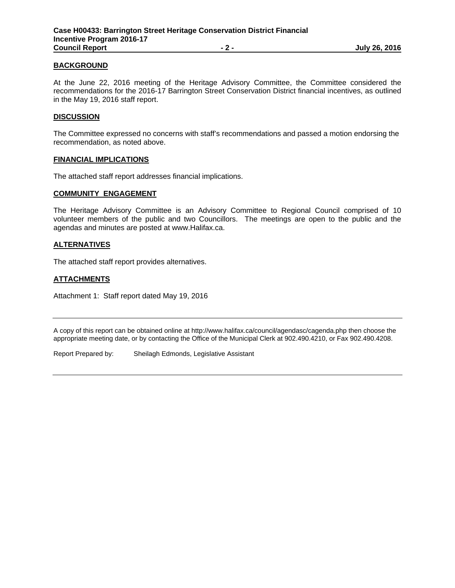### **BACKGROUND**

At the June 22, 2016 meeting of the Heritage Advisory Committee, the Committee considered the recommendations for the 2016-17 Barrington Street Conservation District financial incentives, as outlined in the May 19, 2016 staff report.

#### **DISCUSSION**

The Committee expressed no concerns with staff's recommendations and passed a motion endorsing the recommendation, as noted above.

#### **FINANCIAL IMPLICATIONS**

The attached staff report addresses financial implications.

#### **COMMUNITY ENGAGEMENT**

The Heritage Advisory Committee is an Advisory Committee to Regional Council comprised of 10 volunteer members of the public and two Councillors. The meetings are open to the public and the agendas and minutes are posted at www.Halifax.ca.

#### **ALTERNATIVES**

The attached staff report provides alternatives.

### **ATTACHMENTS**

Attachment 1: Staff report dated May 19, 2016

A copy of this report can be obtained online at http://www.halifax.ca/council/agendasc/cagenda.php then choose the appropriate meeting date, or by contacting the Office of the Municipal Clerk at 902.490.4210, or Fax 902.490.4208.

Report Prepared by: Sheilagh Edmonds, Legislative Assistant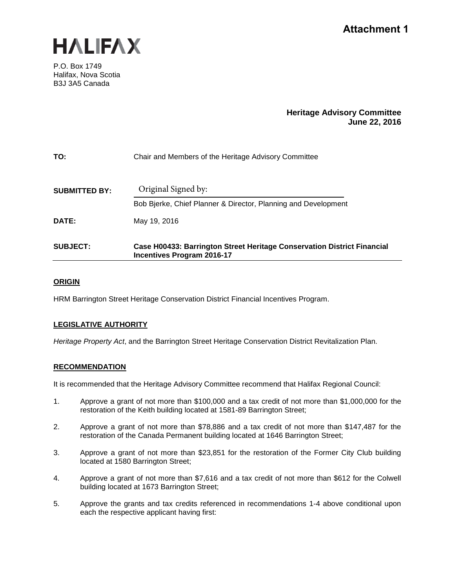

P.O. Box 1749 Halifax, Nova Scotia B3J 3A5 Canada

## **Heritage Advisory Committee June 22, 2016**

| TO:                  | Chair and Members of the Heritage Advisory Committee                                                         |  |  |
|----------------------|--------------------------------------------------------------------------------------------------------------|--|--|
| <b>SUBMITTED BY:</b> | Original Signed by:                                                                                          |  |  |
|                      | Bob Bjerke, Chief Planner & Director, Planning and Development                                               |  |  |
| DATE:                | May 19, 2016                                                                                                 |  |  |
| <b>SUBJECT:</b>      | Case H00433: Barrington Street Heritage Conservation District Financial<br><b>Incentives Program 2016-17</b> |  |  |

## **ORIGIN**

HRM Barrington Street Heritage Conservation District Financial Incentives Program.

## **LEGISLATIVE AUTHORITY**

*Heritage Property Act*, and the Barrington Street Heritage Conservation District Revitalization Plan.

## **RECOMMENDATION**

It is recommended that the Heritage Advisory Committee recommend that Halifax Regional Council:

- 1. Approve a grant of not more than \$100,000 and a tax credit of not more than \$1,000,000 for the restoration of the Keith building located at 1581-89 Barrington Street;
- 2. Approve a grant of not more than \$78,886 and a tax credit of not more than \$147,487 for the restoration of the Canada Permanent building located at 1646 Barrington Street;
- 3. Approve a grant of not more than \$23,851 for the restoration of the Former City Club building located at 1580 Barrington Street;
- 4. Approve a grant of not more than \$7,616 and a tax credit of not more than \$612 for the Colwell building located at 1673 Barrington Street;
- 5. Approve the grants and tax credits referenced in recommendations 1-4 above conditional upon each the respective applicant having first: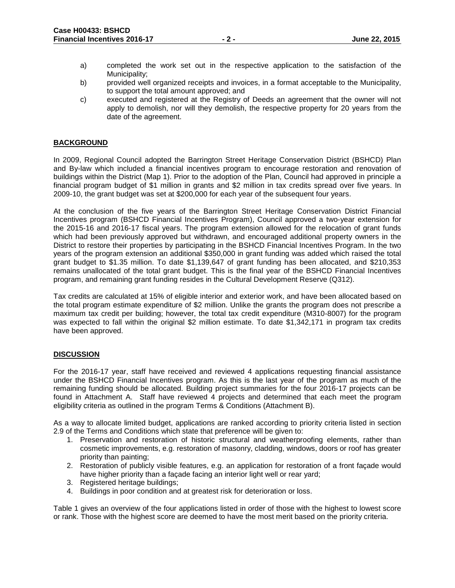- a) completed the work set out in the respective application to the satisfaction of the Municipality;
- b) provided well organized receipts and invoices, in a format acceptable to the Municipality, to support the total amount approved; and
- c) executed and registered at the Registry of Deeds an agreement that the owner will not apply to demolish, nor will they demolish, the respective property for 20 years from the date of the agreement.

### **BACKGROUND**

In 2009, Regional Council adopted the Barrington Street Heritage Conservation District (BSHCD) Plan and By-law which included a financial incentives program to encourage restoration and renovation of buildings within the District (Map 1). Prior to the adoption of the Plan, Council had approved in principle a financial program budget of \$1 million in grants and \$2 million in tax credits spread over five years. In 2009-10, the grant budget was set at \$200,000 for each year of the subsequent four years.

At the conclusion of the five years of the Barrington Street Heritage Conservation District Financial Incentives program (BSHCD Financial Incentives Program), Council approved a two-year extension for the 2015-16 and 2016-17 fiscal years. The program extension allowed for the relocation of grant funds which had been previously approved but withdrawn, and encouraged additional property owners in the District to restore their properties by participating in the BSHCD Financial Incentives Program. In the two years of the program extension an additional \$350,000 in grant funding was added which raised the total grant budget to \$1.35 million. To date \$1,139,647 of grant funding has been allocated, and \$210,353 remains unallocated of the total grant budget. This is the final year of the BSHCD Financial Incentives program, and remaining grant funding resides in the Cultural Development Reserve (Q312).

Tax credits are calculated at 15% of eligible interior and exterior work, and have been allocated based on the total program estimate expenditure of \$2 million. Unlike the grants the program does not prescribe a maximum tax credit per building; however, the total tax credit expenditure (M310-8007) for the program was expected to fall within the original \$2 million estimate. To date \$1,342,171 in program tax credits have been approved.

### **DISCUSSION**

For the 2016-17 year, staff have received and reviewed 4 applications requesting financial assistance under the BSHCD Financial Incentives program. As this is the last year of the program as much of the remaining funding should be allocated. Building project summaries for the four 2016-17 projects can be found in Attachment A. Staff have reviewed 4 projects and determined that each meet the program eligibility criteria as outlined in the program Terms & Conditions (Attachment B).

As a way to allocate limited budget, applications are ranked according to priority criteria listed in section 2.9 of the Terms and Conditions which state that preference will be given to:

- 1. Preservation and restoration of historic structural and weatherproofing elements, rather than cosmetic improvements, e.g. restoration of masonry, cladding, windows, doors or roof has greater priority than painting;
- 2. Restoration of publicly visible features, e.g. an application for restoration of a front façade would have higher priority than a façade facing an interior light well or rear yard;
- 3. Registered heritage buildings;
- 4. Buildings in poor condition and at greatest risk for deterioration or loss.

Table 1 gives an overview of the four applications listed in order of those with the highest to lowest score or rank. Those with the highest score are deemed to have the most merit based on the priority criteria.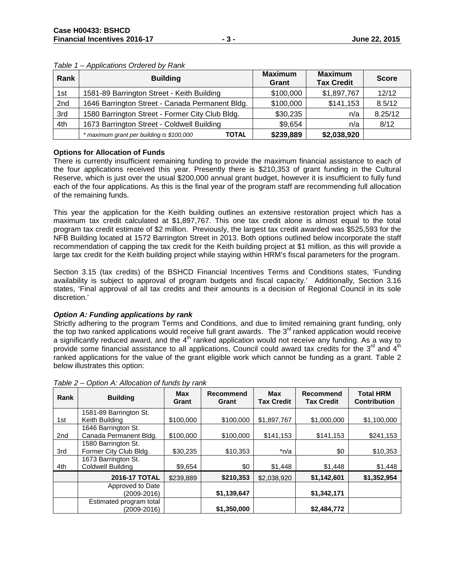| Rank | <b>Building</b>                                           | <b>Maximum</b><br>Grant | <b>Maximum</b><br><b>Tax Credit</b> | <b>Score</b> |
|------|-----------------------------------------------------------|-------------------------|-------------------------------------|--------------|
| 1st  | 1581-89 Barrington Street - Keith Building                | \$100,000               | \$1,897,767                         | 12/12        |
| 2nd  | 1646 Barrington Street - Canada Permanent Bldg.           | \$100,000               | \$141,153                           | 8.5/12       |
| 3rd  | 1580 Barrington Street - Former City Club Bldg.           | \$30,235                | n/a                                 | 8.25/12      |
| 4th  | 1673 Barrington Street - Coldwell Building                | \$9,654                 | n/a                                 | 8/12         |
|      | * maximum grant per building is \$100,000<br><b>TOTAL</b> | \$239,889               | \$2,038,920                         |              |

#### *Table 1 – Applications Ordered by Rank*

### **Options for Allocation of Funds**

There is currently insufficient remaining funding to provide the maximum financial assistance to each of the four applications received this year. Presently there is \$210,353 of grant funding in the Cultural Reserve, which is just over the usual \$200,000 annual grant budget, however it is insufficient to fully fund each of the four applications. As this is the final year of the program staff are recommending full allocation of the remaining funds.

This year the application for the Keith building outlines an extensive restoration project which has a maximum tax credit calculated at \$1,897,767. This one tax credit alone is almost equal to the total program tax credit estimate of \$2 million. Previously, the largest tax credit awarded was \$525,593 for the NFB Building located at 1572 Barrington Street in 2013. Both options outlined below incorporate the staff recommendation of capping the tax credit for the Keith building project at \$1 million, as this will provide a large tax credit for the Keith building project while staying within HRM's fiscal parameters for the program.

Section 3.15 (tax credits) of the BSHCD Financial Incentives Terms and Conditions states, 'Funding availability is subject to approval of program budgets and fiscal capacity.' Additionally, Section 3.16 states, 'Final approval of all tax credits and their amounts is a decision of Regional Council in its sole discretion.'

### *Option A: Funding applications by rank*

Strictly adhering to the program Terms and Conditions, and due to limited remaining grant funding, only the top two ranked applications would receive full grant awards. The  $3<sup>rd</sup>$  ranked application would receive a significantly reduced award, and the  $4<sup>th</sup>$  ranked application would not receive any funding. As a way to provide some financial assistance to all applications. Council could award tax credits for the  $3^{rd}$  and  $4^{th}$ ranked applications for the value of the grant eligible work which cannot be funding as a grant. Table 2 below illustrates this option:

| Rank            | <b>Building</b>          | <b>Max</b><br>Grant | Recommend<br>Grant | <b>Max</b><br><b>Tax Credit</b> | Recommend<br><b>Tax Credit</b> | <b>Total HRM</b><br><b>Contribution</b> |
|-----------------|--------------------------|---------------------|--------------------|---------------------------------|--------------------------------|-----------------------------------------|
|                 | 1581-89 Barrington St.   |                     |                    |                                 |                                |                                         |
| 1st             | Keith Building           | \$100,000           | \$100,000          | \$1,897,767                     | \$1,000,000                    | \$1,100,000                             |
|                 | 1646 Barrington St.      |                     |                    |                                 |                                |                                         |
| 2 <sub>nd</sub> | Canada Permanent Bldg.   | \$100,000           | \$100,000          | \$141,153                       | \$141,153                      | \$241,153                               |
|                 | 1580 Barrington St.      |                     |                    |                                 |                                |                                         |
| 3rd             | Former City Club Bldg.   | \$30,235            | \$10,353           | $*n/a$                          | \$0                            | \$10,353                                |
|                 | 1673 Barrington St.      |                     |                    |                                 |                                |                                         |
| 4th             | <b>Coldwell Building</b> | \$9,654             | \$0                | \$1,448                         | \$1,448                        | \$1,448                                 |
|                 | <b>2016-17 TOTAL</b>     | \$239.889           | \$210,353          | \$2.038.920                     | \$1,142,601                    | \$1,352,954                             |
|                 | Approved to Date         |                     |                    |                                 |                                |                                         |
|                 | (2009-2016)              |                     | \$1,139,647        |                                 | \$1,342,171                    |                                         |
|                 | Estimated program total  |                     |                    |                                 |                                |                                         |
|                 | (2009-2016)              |                     | \$1,350,000        |                                 | \$2,484,772                    |                                         |

*Table 2 – Option A: Allocation of funds by rank*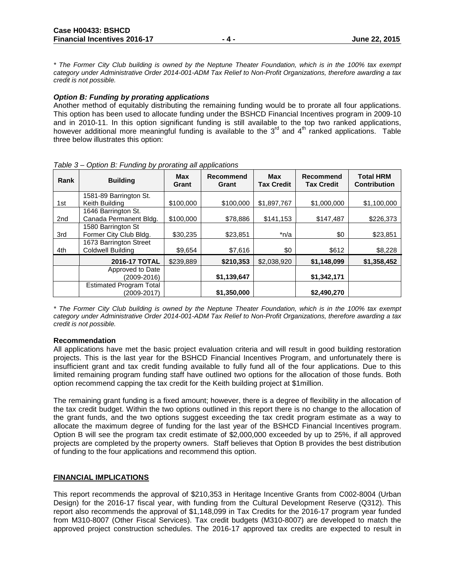*\* The Former City Club building is owned by the Neptune Theater Foundation, which is in the 100% tax exempt category under Administrative Order 2014-001-ADM Tax Relief to Non-Profit Organizations, therefore awarding a tax credit is not possible.*

#### *Option B: Funding by prorating applications*

Another method of equitably distributing the remaining funding would be to prorate all four applications. This option has been used to allocate funding under the BSHCD Financial Incentives program in 2009-10 and in 2010-11. In this option significant funding is still available to the top two ranked applications, however additional more meaningful funding is available to the  $3<sup>rd</sup>$  and  $4<sup>th</sup>$  ranked applications. Table three below illustrates this option:

|      | $S_{\rm p}$ . $S_{\rm r}$ and $S_{\rm p}$ is standing an approached in |              |                           |                                 |                                |                                         |
|------|------------------------------------------------------------------------|--------------|---------------------------|---------------------------------|--------------------------------|-----------------------------------------|
| Rank | <b>Building</b>                                                        | Max<br>Grant | <b>Recommend</b><br>Grant | <b>Max</b><br><b>Tax Credit</b> | Recommend<br><b>Tax Credit</b> | <b>Total HRM</b><br><b>Contribution</b> |
|      | 1581-89 Barrington St.                                                 |              |                           |                                 |                                |                                         |
| 1st  | Keith Building                                                         | \$100,000    | \$100,000                 | \$1,897,767                     | \$1,000,000                    | \$1,100,000                             |
|      | 1646 Barrington St.                                                    |              |                           |                                 |                                |                                         |
| 2nd  | Canada Permanent Bldg.                                                 | \$100,000    | \$78,886                  | \$141,153                       | \$147,487                      | \$226,373                               |
|      | 1580 Barrington St                                                     |              |                           |                                 |                                |                                         |
| 3rd  | Former City Club Bldg.                                                 | \$30,235     | \$23,851                  | *n/a                            | \$0                            | \$23,851                                |
|      | 1673 Barrington Street                                                 |              |                           |                                 |                                |                                         |
| 4th  | Coldwell Building                                                      | \$9,654      | \$7,616                   | \$0                             | \$612                          | \$8,228                                 |
|      | 2016-17 TOTAL                                                          | \$239.889    | \$210.353                 | \$2.038.920                     | \$1,148,099                    | \$1,358,452                             |
|      | Approved to Date                                                       |              |                           |                                 |                                |                                         |
|      | (2009-2016)                                                            |              | \$1,139,647               |                                 | \$1,342,171                    |                                         |
|      | <b>Estimated Program Total</b>                                         |              |                           |                                 |                                |                                         |
|      | (2009-2017)                                                            |              | \$1,350,000               |                                 | \$2,490,270                    |                                         |

*Table 3 – Option B: Funding by prorating all applications* 

*\* The Former City Club building is owned by the Neptune Theater Foundation, which is in the 100% tax exempt category under Administrative Order 2014-001-ADM Tax Relief to Non-Profit Organizations, therefore awarding a tax credit is not possible.*

### **Recommendation**

All applications have met the basic project evaluation criteria and will result in good building restoration projects. This is the last year for the BSHCD Financial Incentives Program, and unfortunately there is insufficient grant and tax credit funding available to fully fund all of the four applications. Due to this limited remaining program funding staff have outlined two options for the allocation of those funds. Both option recommend capping the tax credit for the Keith building project at \$1million.

The remaining grant funding is a fixed amount; however, there is a degree of flexibility in the allocation of the tax credit budget. Within the two options outlined in this report there is no change to the allocation of the grant funds, and the two options suggest exceeding the tax credit program estimate as a way to allocate the maximum degree of funding for the last year of the BSHCD Financial Incentives program. Option B will see the program tax credit estimate of \$2,000,000 exceeded by up to 25%, if all approved projects are completed by the property owners. Staff believes that Option B provides the best distribution of funding to the four applications and recommend this option.

### **FINANCIAL IMPLICATIONS**

This report recommends the approval of \$210,353 in Heritage Incentive Grants from C002-8004 (Urban Design) for the 2016-17 fiscal year, with funding from the Cultural Development Reserve (Q312). This report also recommends the approval of \$1,148,099 in Tax Credits for the 2016-17 program year funded from M310-8007 (Other Fiscal Services). Tax credit budgets (M310-8007) are developed to match the approved project construction schedules. The 2016-17 approved tax credits are expected to result in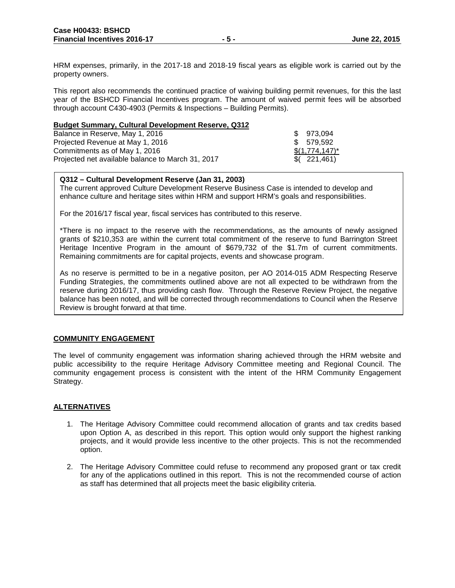HRM expenses, primarily, in the 2017-18 and 2018-19 fiscal years as eligible work is carried out by the property owners.

This report also recommends the continued practice of waiving building permit revenues, for this the last year of the BSHCD Financial Incentives program. The amount of waived permit fees will be absorbed through account C430-4903 (Permits & Inspections – Building Permits).

#### **Budget Summary, Cultural Development Reserve, Q312**

| Balance in Reserve, May 1, 2016                   | \$973.094        |
|---------------------------------------------------|------------------|
| Projected Revenue at May 1, 2016                  | \$ 579.592       |
| Commitments as of May 1, 2016                     | $$(1,774,147)^*$ |
| Projected net available balance to March 31, 2017 | \$(221,461)      |

### **Q312 – Cultural Development Reserve (Jan 31, 2003)**

The current approved Culture Development Reserve Business Case is intended to develop and enhance culture and heritage sites within HRM and support HRM's goals and responsibilities.

For the 2016/17 fiscal year, fiscal services has contributed to this reserve.

\*There is no impact to the reserve with the recommendations, as the amounts of newly assigned grants of \$210,353 are within the current total commitment of the reserve to fund Barrington Street Heritage Incentive Program in the amount of \$679,732 of the \$1.7m of current commitments. Remaining commitments are for capital projects, events and showcase program.

As no reserve is permitted to be in a negative positon, per AO 2014-015 ADM Respecting Reserve Funding Strategies, the commitments outlined above are not all expected to be withdrawn from the reserve during 2016/17, thus providing cash flow. Through the Reserve Review Project, the negative balance has been noted, and will be corrected through recommendations to Council when the Reserve Review is brought forward at that time.

### **COMMUNITY ENGAGEMENT**

The level of community engagement was information sharing achieved through the HRM website and public accessibility to the require Heritage Advisory Committee meeting and Regional Council. The community engagement process is consistent with the intent of the HRM Community Engagement Strategy.

## **ALTERNATIVES**

- 1. The Heritage Advisory Committee could recommend allocation of grants and tax credits based upon Option A, as described in this report. This option would only support the highest ranking projects, and it would provide less incentive to the other projects. This is not the recommended option.
- 2. The Heritage Advisory Committee could refuse to recommend any proposed grant or tax credit for any of the applications outlined in this report. This is not the recommended course of action as staff has determined that all projects meet the basic eligibility criteria.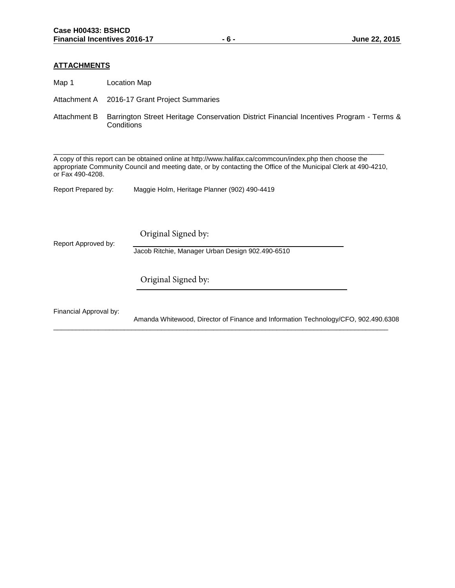### **ATTACHMENTS**

Map 1 Location Map

Attachment A 2016-17 Grant Project Summaries

Attachment B Barrington Street Heritage Conservation District Financial Incentives Program - Terms & **Conditions** 

A copy of this report can be obtained online at http://www.halifax.ca/commcoun/index.php then choose the appropriate Community Council and meeting date, or by contacting the Office of the Municipal Clerk at 490-4210, or Fax 490-4208.

\_\_\_\_\_\_\_\_\_\_\_\_\_\_\_\_\_\_\_\_\_\_\_\_\_\_\_\_\_\_\_\_\_\_\_\_\_\_\_\_\_\_\_\_\_\_\_\_\_\_\_\_\_\_\_\_\_\_\_\_\_\_\_\_\_\_\_\_\_\_\_\_\_\_\_\_\_\_\_\_

Report Prepared by: Maggie Holm, Heritage Planner (902) 490-4419

Original Signed by:

Report Approved by:

Jacob Ritchie, Manager Urban Design 902.490-6510

\_\_\_\_\_\_\_\_\_\_\_\_\_\_\_\_\_\_\_\_\_\_\_\_\_\_\_\_\_\_\_\_\_\_\_\_\_\_\_\_\_\_\_\_\_\_\_\_\_\_\_\_\_\_\_\_\_\_\_\_\_\_\_\_\_\_\_\_\_\_\_\_\_\_\_\_\_\_\_\_\_\_\_\_\_\_\_\_\_\_

Original Signed by:

Financial Approval by:

Amanda Whitewood, Director of Finance and Information Technology/CFO, 902.490.6308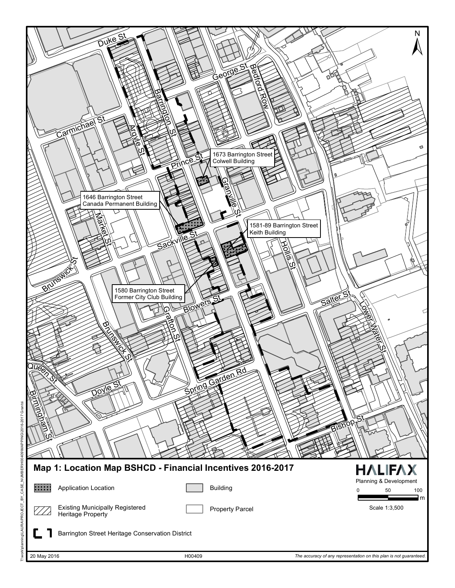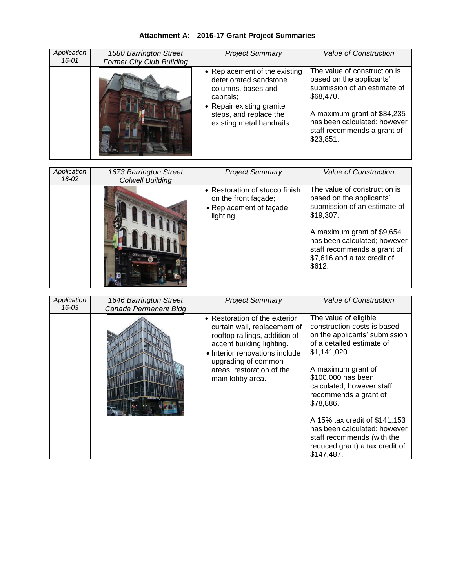| Application<br>$16 - 01$ | 1580 Barrington Street<br><b>Former City Club Building</b> | <b>Project Summary</b>                                                                                                                                                         | Value of Construction                                                                                                                                                                                                                       |
|--------------------------|------------------------------------------------------------|--------------------------------------------------------------------------------------------------------------------------------------------------------------------------------|---------------------------------------------------------------------------------------------------------------------------------------------------------------------------------------------------------------------------------------------|
|                          |                                                            | • Replacement of the existing<br>deteriorated sandstone<br>columns, bases and<br>capitals;<br>• Repair existing granite<br>steps, and replace the<br>existing metal handrails. | The value of construction is<br>based on the applicants'<br>submission of an estimate of<br>\$68,470.<br>A maximum grant of \$34,235<br>has been calculated; however<br>staff recommends a grant of<br>\$23,851.                            |
| Application<br>$16 - 02$ | 1673 Barrington Street<br><b>Colwell Building</b>          | <b>Project Summary</b>                                                                                                                                                         | <b>Value of Construction</b>                                                                                                                                                                                                                |
|                          |                                                            | • Restoration of stucco finish<br>on the front façade;<br>• Replacement of façade<br>lighting.                                                                                 | The value of construction is<br>based on the applicants'<br>submission of an estimate of<br>\$19,307.<br>A maximum grant of \$9,654<br>has been calculated; however<br>staff recommends a grant of<br>\$7,616 and a tax credit of<br>\$612. |
|                          |                                                            |                                                                                                                                                                                |                                                                                                                                                                                                                                             |
| Application<br>$16 - 03$ | 1646 Barrington Street<br>Canada Permanent Bldg            | <b>Project Summary</b>                                                                                                                                                         | Value of Construction                                                                                                                                                                                                                       |

# **Attachment A: 2016-17 Grant Project Summaries**

| Application<br>16-03 | 1646 Barrington Street<br>Canada Permanent Bldg | <b>Project Summary</b>                                                                                                                                                                                                                | <b>Value of Construction</b>                                                                                                                                                                                                                                                                                                                                                                     |
|----------------------|-------------------------------------------------|---------------------------------------------------------------------------------------------------------------------------------------------------------------------------------------------------------------------------------------|--------------------------------------------------------------------------------------------------------------------------------------------------------------------------------------------------------------------------------------------------------------------------------------------------------------------------------------------------------------------------------------------------|
|                      |                                                 | • Restoration of the exterior<br>curtain wall, replacement of<br>rooftop railings, addition of<br>accent building lighting.<br>• Interior renovations include<br>upgrading of common<br>areas, restoration of the<br>main lobby area. | The value of eligible<br>construction costs is based<br>on the applicants' submission<br>of a detailed estimate of<br>\$1,141,020.<br>A maximum grant of<br>\$100,000 has been<br>calculated; however staff<br>recommends a grant of<br>\$78,886.<br>A 15% tax credit of \$141,153<br>has been calculated; however<br>staff recommends (with the<br>reduced grant) a tax credit of<br>\$147,487. |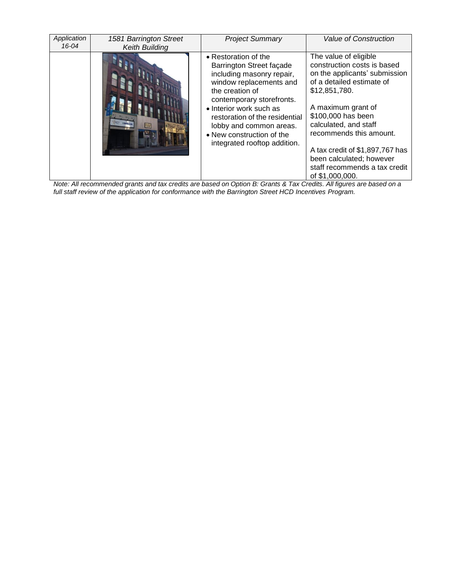| Application<br>$16 - 04$ | 1581 Barrington Street<br><b>Keith Building</b> | <b>Project Summary</b>                                                                                                                                                                                                                                                                                        | Value of Construction                                                                                                                                                                                                                                                                                                                                  |
|--------------------------|-------------------------------------------------|---------------------------------------------------------------------------------------------------------------------------------------------------------------------------------------------------------------------------------------------------------------------------------------------------------------|--------------------------------------------------------------------------------------------------------------------------------------------------------------------------------------------------------------------------------------------------------------------------------------------------------------------------------------------------------|
|                          |                                                 | • Restoration of the<br>Barrington Street façade<br>including masonry repair,<br>window replacements and<br>the creation of<br>contemporary storefronts.<br>• Interior work such as<br>restoration of the residential<br>lobby and common areas.<br>• New construction of the<br>integrated rooftop addition. | The value of eligible<br>construction costs is based<br>on the applicants' submission<br>of a detailed estimate of<br>\$12,851,780.<br>A maximum grant of<br>\$100,000 has been<br>calculated, and staff<br>recommends this amount.<br>A tax credit of \$1,897,767 has<br>been calculated; however<br>staff recommends a tax credit<br>of \$1,000,000. |

*Note: All recommended grants and tax credits are based on Option B: Grants & Tax Credits. All figures are based on a full staff review of the application for conformance with the Barrington Street HCD Incentives Program.*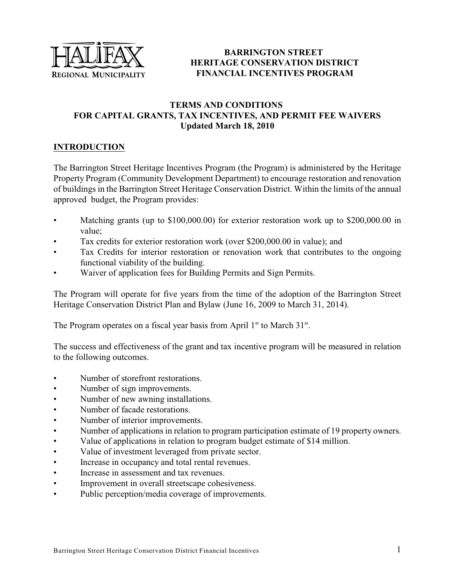

# **BARRINGTON STREET HERITAGE CONSERVATION DISTRICT FINANCIAL INCENTIVES PROGRAM**

# **TERMS AND CONDITIONS FOR CAPITAL GRANTS, TAX INCENTIVES, AND PERMIT FEE WAIVERS Updated March 18, 2010**

# **INTRODUCTION**

The Barrington Street Heritage Incentives Program (the Program) is administered by the Heritage Property Program (Community Development Department) to encourage restoration and renovation of buildings in the Barrington Street Heritage Conservation District. Within the limits of the annual approved budget, the Program provides:

- Matching grants (up to \$100,000.00) for exterior restoration work up to \$200,000.00 in value;
- Tax credits for exterior restoration work (over \$200,000.00 in value); and
- Tax Credits for interior restoration or renovation work that contributes to the ongoing functional viability of the building.
- Waiver of application fees for Building Permits and Sign Permits.

The Program will operate for five years from the time of the adoption of the Barrington Street Heritage Conservation District Plan and Bylaw (June 16, 2009 to March 31, 2014).

The Program operates on a fiscal year basis from April  $1<sup>st</sup>$  to March 31 $<sup>st</sup>$ .</sup>

The success and effectiveness of the grant and tax incentive program will be measured in relation to the following outcomes.

- Number of storefront restorations.
- Number of sign improvements.
- Number of new awning installations.
- Number of facade restorations.
- Number of interior improvements.
- Number of applications in relation to program participation estimate of 19 property owners.
- Value of applications in relation to program budget estimate of \$14 million.
- Value of investment leveraged from private sector.
- Increase in occupancy and total rental revenues.
- Increase in assessment and tax revenues.
- Improvement in overall streetscape cohesiveness.
- Public perception/media coverage of improvements.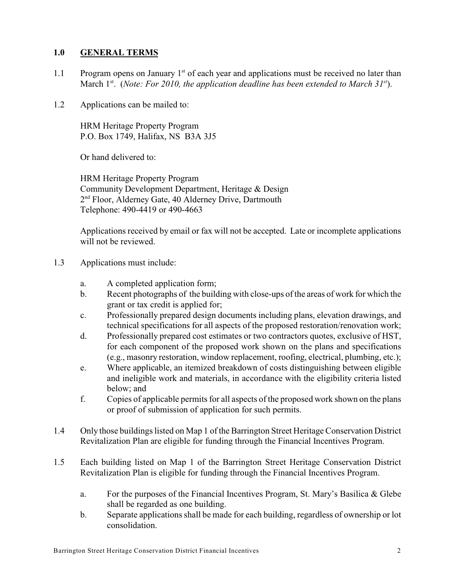## **1.0 GENERAL TERMS**

- 1.1 Program opens on January  $1<sup>st</sup>$  of each year and applications must be received no later than March 1<sup>st</sup>. (*Note: For 2010, the application deadline has been extended to March 31<sup>st</sup>).*
- 1.2 Applications can be mailed to:

HRM Heritage Property Program P.O. Box 1749, Halifax, NS B3A 3J5

Or hand delivered to:

HRM Heritage Property Program Community Development Department, Heritage & Design 2<sup>nd</sup> Floor, Alderney Gate, 40 Alderney Drive, Dartmouth Telephone: 490-4419 or 490-4663

Applications received by email or fax will not be accepted. Late or incomplete applications will not be reviewed.

- 1.3 Applications must include:
	- a. A completed application form;
	- b. Recent photographs of the building with close-ups of the areas of work for which the grant or tax credit is applied for;
	- c. Professionally prepared design documents including plans, elevation drawings, and technical specifications for all aspects of the proposed restoration/renovation work;
	- d. Professionally prepared cost estimates or two contractors quotes, exclusive of HST, for each component of the proposed work shown on the plans and specifications (e.g., masonry restoration, window replacement, roofing, electrical, plumbing, etc.);
	- e. Where applicable, an itemized breakdown of costs distinguishing between eligible and ineligible work and materials, in accordance with the eligibility criteria listed below; and
	- f. Copies of applicable permits for all aspects of the proposed work shown on the plans or proof of submission of application for such permits.
- 1.4 Only those buildings listed on Map 1 of the Barrington Street Heritage Conservation District Revitalization Plan are eligible for funding through the Financial Incentives Program.
- 1.5 Each building listed on Map 1 of the Barrington Street Heritage Conservation District Revitalization Plan is eligible for funding through the Financial Incentives Program.
	- a. For the purposes of the Financial Incentives Program, St. Mary's Basilica & Glebe shall be regarded as one building.
	- b. Separate applications shall be made for each building, regardless of ownership or lot consolidation.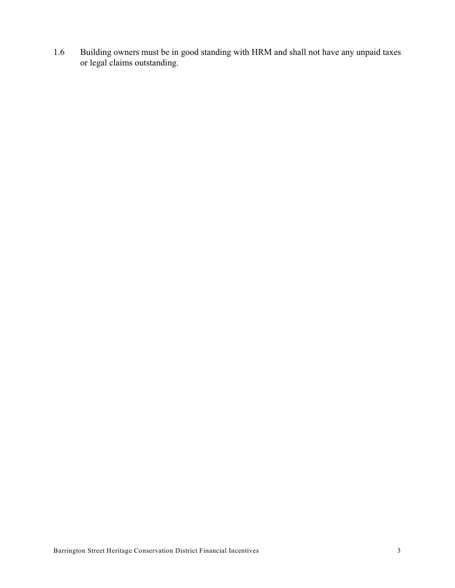1.6 Building owners must be in good standing with HRM and shall not have any unpaid taxes or legal claims outstanding.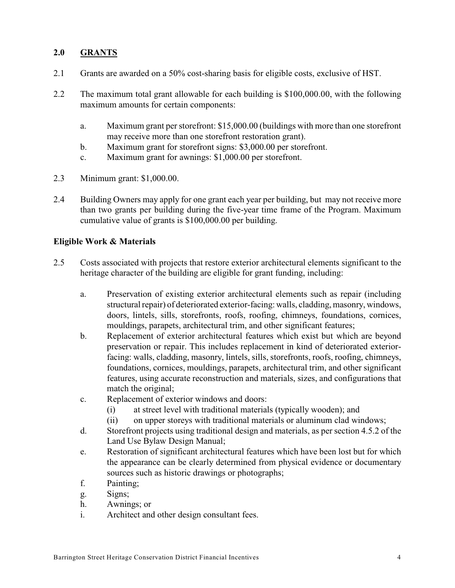## **2.0 GRANTS**

- 2.1 Grants are awarded on a 50% cost-sharing basis for eligible costs, exclusive of HST.
- 2.2 The maximum total grant allowable for each building is \$100,000.00, with the following maximum amounts for certain components:
	- a. Maximum grant perstorefront: \$15,000.00 (buildings with more than one storefront may receive more than one storefront restoration grant).
	- b. Maximum grant for storefront signs: \$3,000.00 per storefront.
	- c. Maximum grant for awnings: \$1,000.00 per storefront.
- 2.3 Minimum grant: \$1,000.00.
- 2.4 Building Owners may apply for one grant each year per building, but may not receive more than two grants per building during the five-year time frame of the Program. Maximum cumulative value of grants is \$100,000.00 per building.

## **Eligible Work & Materials**

- 2.5 Costs associated with projects that restore exterior architectural elements significant to the heritage character of the building are eligible for grant funding, including:
	- a. Preservation of existing exterior architectural elements such as repair (including structural repair) of deteriorated exterior-facing: walls, cladding, masonry, windows, doors, lintels, sills, storefronts, roofs, roofing, chimneys, foundations, cornices, mouldings, parapets, architectural trim, and other significant features;
	- b. Replacement of exterior architectural features which exist but which are beyond preservation or repair. This includes replacement in kind of deteriorated exteriorfacing: walls, cladding, masonry, lintels, sills, storefronts, roofs, roofing, chimneys, foundations, cornices, mouldings, parapets, architectural trim, and other significant features, using accurate reconstruction and materials, sizes, and configurations that match the original;
	- c. Replacement of exterior windows and doors:
		- (i) at street level with traditional materials (typically wooden); and
		- (ii) on upper storeys with traditional materials or aluminum clad windows;
	- d. Storefront projects using traditional design and materials, as per section 4.5.2 of the Land Use Bylaw Design Manual;
	- e. Restoration of significant architectural features which have been lost but for which the appearance can be clearly determined from physical evidence or documentary sources such as historic drawings or photographs;
	- f. Painting;
	- g. Signs;
	- h. Awnings; or
	- i. Architect and other design consultant fees.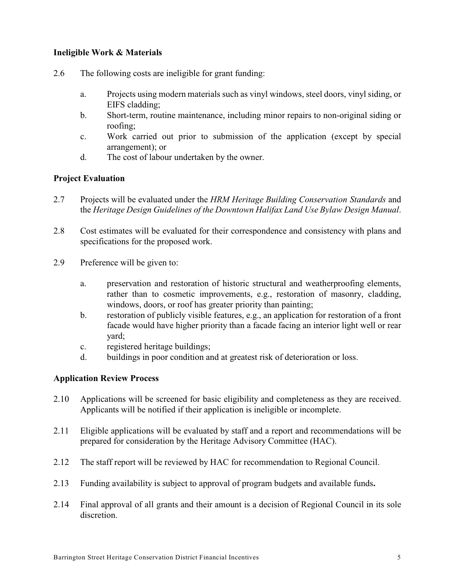## **Ineligible Work & Materials**

- 2.6 The following costs are ineligible for grant funding:
	- a. Projects using modern materials such as vinyl windows, steel doors, vinyl siding, or EIFS cladding;
	- b. Short-term, routine maintenance, including minor repairs to non-original siding or roofing;
	- c. Work carried out prior to submission of the application (except by special arrangement); or
	- d. The cost of labour undertaken by the owner.

## **Project Evaluation**

- 2.7 Projects will be evaluated under the *HRM Heritage Building Conservation Standards* and the *Heritage Design Guidelines of the Downtown Halifax Land Use Bylaw Design Manual*.
- 2.8 Cost estimates will be evaluated for their correspondence and consistency with plans and specifications for the proposed work.
- 2.9 Preference will be given to:
	- a. preservation and restoration of historic structural and weatherproofing elements, rather than to cosmetic improvements, e.g., restoration of masonry, cladding, windows, doors, or roof has greater priority than painting;
	- b. restoration of publicly visible features, e.g., an application for restoration of a front facade would have higher priority than a facade facing an interior light well or rear yard;
	- c. registered heritage buildings;
	- d. buildings in poor condition and at greatest risk of deterioration or loss.

## **Application Review Process**

- 2.10 Applications will be screened for basic eligibility and completeness as they are received. Applicants will be notified if their application is ineligible or incomplete.
- 2.11 Eligible applications will be evaluated by staff and a report and recommendations will be prepared for consideration by the Heritage Advisory Committee (HAC).
- 2.12 The staff report will be reviewed by HAC for recommendation to Regional Council.
- 2.13 Funding availability is subject to approval of program budgets and available funds**.**
- 2.14 Final approval of all grants and their amount is a decision of Regional Council in its sole discretion.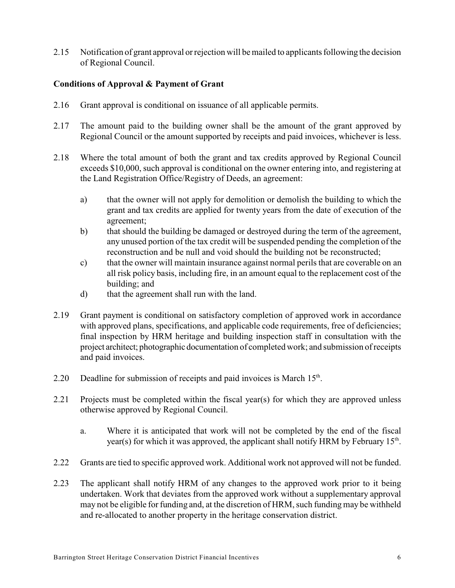2.15 Notification of grant approval or rejection will be mailed to applicants following the decision of Regional Council.

## **Conditions of Approval & Payment of Grant**

- 2.16 Grant approval is conditional on issuance of all applicable permits.
- 2.17 The amount paid to the building owner shall be the amount of the grant approved by Regional Council or the amount supported by receipts and paid invoices, whichever is less.
- 2.18 Where the total amount of both the grant and tax credits approved by Regional Council exceeds \$10,000, such approval is conditional on the owner entering into, and registering at the Land Registration Office/Registry of Deeds, an agreement:
	- a) that the owner will not apply for demolition or demolish the building to which the grant and tax credits are applied for twenty years from the date of execution of the agreement;
	- b) that should the building be damaged or destroyed during the term of the agreement, any unused portion of the tax credit will be suspended pending the completion of the reconstruction and be null and void should the building not be reconstructed;
	- c) that the owner will maintain insurance against normal perils that are coverable on an all risk policy basis, including fire, in an amount equal to the replacement cost of the building; and
	- d) that the agreement shall run with the land.
- 2.19 Grant payment is conditional on satisfactory completion of approved work in accordance with approved plans, specifications, and applicable code requirements, free of deficiencies; final inspection by HRM heritage and building inspection staff in consultation with the project architect; photographic documentation of completed work; and submission of receipts and paid invoices.
- 2.20 Deadline for submission of receipts and paid invoices is March  $15<sup>th</sup>$ .
- 2.21 Projects must be completed within the fiscal year(s) for which they are approved unless otherwise approved by Regional Council.
	- a. Where it is anticipated that work will not be completed by the end of the fiscal year(s) for which it was approved, the applicant shall notify HRM by February  $15<sup>th</sup>$ .
- 2.22 Grants are tied to specific approved work. Additional work not approved will not be funded.
- 2.23 The applicant shall notify HRM of any changes to the approved work prior to it being undertaken. Work that deviates from the approved work without a supplementary approval may not be eligible for funding and, at the discretion of HRM, such funding may be withheld and re-allocated to another property in the heritage conservation district.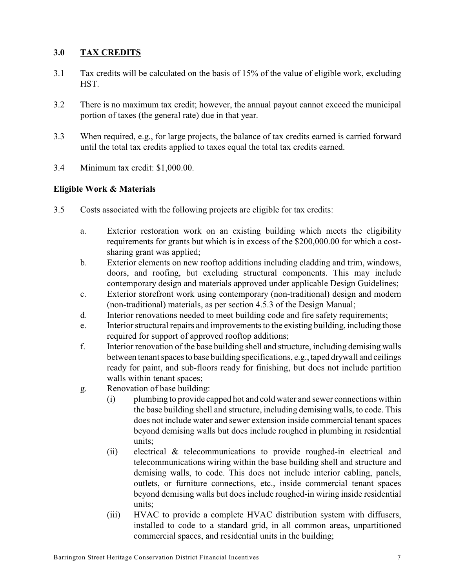# **3.0 TAX CREDITS**

- 3.1 Tax credits will be calculated on the basis of 15% of the value of eligible work, excluding HST.
- 3.2 There is no maximum tax credit; however, the annual payout cannot exceed the municipal portion of taxes (the general rate) due in that year.
- 3.3 When required, e.g., for large projects, the balance of tax credits earned is carried forward until the total tax credits applied to taxes equal the total tax credits earned.
- 3.4 Minimum tax credit: \$1,000.00.

## **Eligible Work & Materials**

- 3.5 Costs associated with the following projects are eligible for tax credits:
	- a. Exterior restoration work on an existing building which meets the eligibility requirements for grants but which is in excess of the \$200,000.00 for which a costsharing grant was applied;
	- b. Exterior elements on new rooftop additions including cladding and trim, windows, doors, and roofing, but excluding structural components. This may include contemporary design and materials approved under applicable Design Guidelines;
	- c. Exterior storefront work using contemporary (non-traditional) design and modern (non-traditional) materials, as per section 4.5.3 of the Design Manual;
	- d. Interior renovations needed to meet building code and fire safety requirements;
	- e. Interior structural repairs and improvements to the existing building, including those required for support of approved rooftop additions;
	- f. Interior renovation of the base building shell and structure, including demising walls between tenant spaces to base building specifications, e.g., taped drywall and ceilings ready for paint, and sub-floors ready for finishing, but does not include partition walls within tenant spaces;
	- g. Renovation of base building:
		- (i) plumbing to provide capped hot and cold water and sewer connections within the base building shell and structure, including demising walls, to code. This does not include water and sewer extension inside commercial tenant spaces beyond demising walls but does include roughed in plumbing in residential units;
		- (ii) electrical & telecommunications to provide roughed-in electrical and telecommunications wiring within the base building shell and structure and demising walls, to code. This does not include interior cabling, panels, outlets, or furniture connections, etc., inside commercial tenant spaces beyond demising walls but does include roughed-in wiring inside residential units;
		- (iii) HVAC to provide a complete HVAC distribution system with diffusers, installed to code to a standard grid, in all common areas, unpartitioned commercial spaces, and residential units in the building;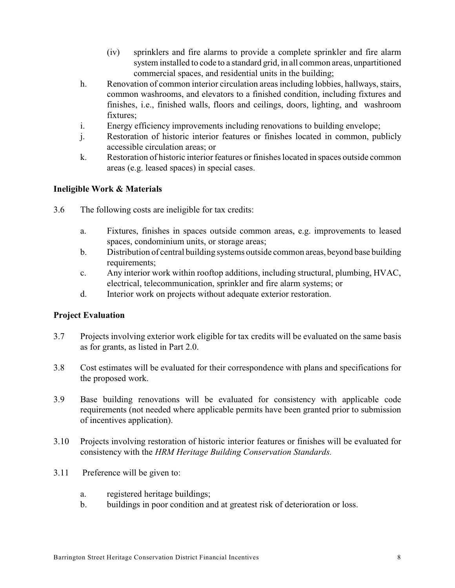- (iv) sprinklers and fire alarms to provide a complete sprinkler and fire alarm system installed to code to a standard grid, in all common areas, unpartitioned commercial spaces, and residential units in the building;
- h. Renovation of common interior circulation areas including lobbies, hallways, stairs, common washrooms, and elevators to a finished condition, including fixtures and finishes, i.e., finished walls, floors and ceilings, doors, lighting, and washroom fixtures;
- i. Energy efficiency improvements including renovations to building envelope;
- j. Restoration of historic interior features or finishes located in common, publicly accessible circulation areas; or
- k. Restoration of historic interior features or finishes located in spaces outside common areas (e.g. leased spaces) in special cases.

# **Ineligible Work & Materials**

- 3.6 The following costs are ineligible for tax credits:
	- a. Fixtures, finishes in spaces outside common areas, e.g. improvements to leased spaces, condominium units, or storage areas;
	- b. Distribution of central building systems outside common areas, beyond base building requirements;
	- c. Any interior work within rooftop additions, including structural, plumbing, HVAC, electrical, telecommunication, sprinkler and fire alarm systems; or
	- d. Interior work on projects without adequate exterior restoration.

## **Project Evaluation**

- 3.7 Projects involving exterior work eligible for tax credits will be evaluated on the same basis as for grants, as listed in Part 2.0.
- 3.8 Cost estimates will be evaluated for their correspondence with plans and specifications for the proposed work.
- 3.9 Base building renovations will be evaluated for consistency with applicable code requirements (not needed where applicable permits have been granted prior to submission of incentives application).
- 3.10 Projects involving restoration of historic interior features or finishes will be evaluated for consistency with the *HRM Heritage Building Conservation Standards.*
- 3.11 Preference will be given to:
	- a. registered heritage buildings;
	- b. buildings in poor condition and at greatest risk of deterioration or loss.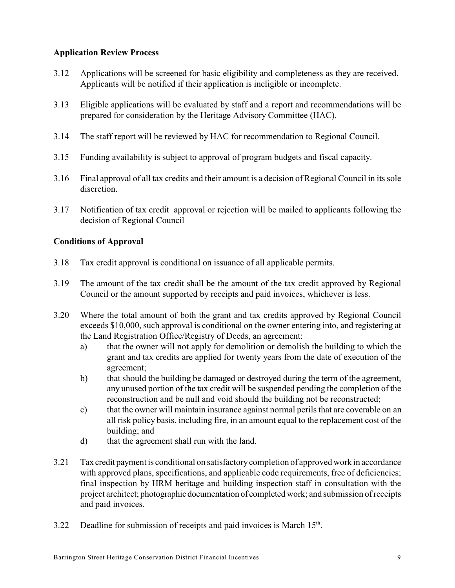## **Application Review Process**

- 3.12 Applications will be screened for basic eligibility and completeness as they are received. Applicants will be notified if their application is ineligible or incomplete.
- 3.13 Eligible applications will be evaluated by staff and a report and recommendations will be prepared for consideration by the Heritage Advisory Committee (HAC).
- 3.14 The staff report will be reviewed by HAC for recommendation to Regional Council.
- 3.15 Funding availability is subject to approval of program budgets and fiscal capacity.
- 3.16 Final approval of all tax credits and their amount is a decision of Regional Council in its sole discretion.
- 3.17 Notification of tax credit approval or rejection will be mailed to applicants following the decision of Regional Council

## **Conditions of Approval**

- 3.18 Tax credit approval is conditional on issuance of all applicable permits.
- 3.19 The amount of the tax credit shall be the amount of the tax credit approved by Regional Council or the amount supported by receipts and paid invoices, whichever is less.
- 3.20 Where the total amount of both the grant and tax credits approved by Regional Council exceeds \$10,000, such approval is conditional on the owner entering into, and registering at the Land Registration Office/Registry of Deeds, an agreement:
	- a) that the owner will not apply for demolition or demolish the building to which the grant and tax credits are applied for twenty years from the date of execution of the agreement;
	- b) that should the building be damaged or destroyed during the term of the agreement, any unused portion of the tax credit will be suspended pending the completion of the reconstruction and be null and void should the building not be reconstructed;
	- c) that the owner will maintain insurance against normal perils that are coverable on an all risk policy basis, including fire, in an amount equal to the replacement cost of the building; and
	- d) that the agreement shall run with the land.
- 3.21 Tax credit payment is conditional on satisfactory completion of approved work in accordance with approved plans, specifications, and applicable code requirements, free of deficiencies; final inspection by HRM heritage and building inspection staff in consultation with the project architect; photographic documentation of completed work; and submission of receipts and paid invoices.
- 3.22 Deadline for submission of receipts and paid invoices is March  $15<sup>th</sup>$ .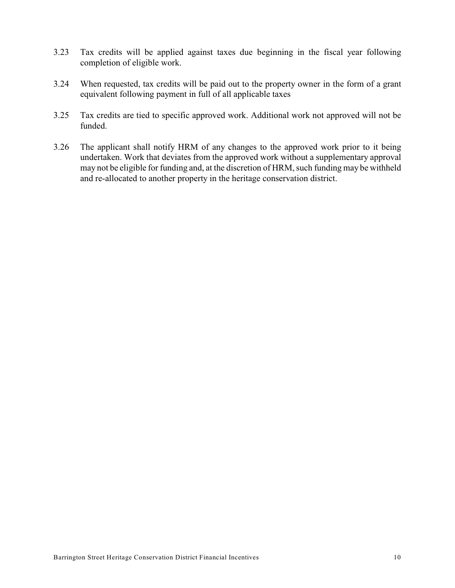- 3.23 Tax credits will be applied against taxes due beginning in the fiscal year following completion of eligible work.
- 3.24 When requested, tax credits will be paid out to the property owner in the form of a grant equivalent following payment in full of all applicable taxes
- 3.25 Tax credits are tied to specific approved work. Additional work not approved will not be funded.
- 3.26 The applicant shall notify HRM of any changes to the approved work prior to it being undertaken. Work that deviates from the approved work without a supplementary approval may not be eligible for funding and, at the discretion of HRM, such funding may be withheld and re-allocated to another property in the heritage conservation district.